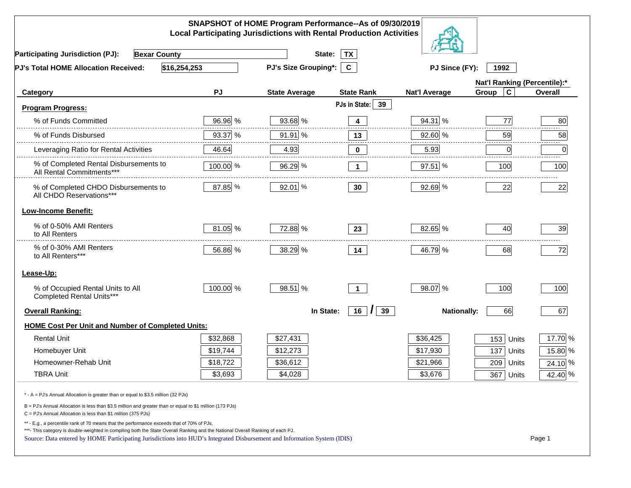|                                                                                                                                                                                                                                                                                                                                                          |                      | SNAPSHOT of HOME Program Performance--As of 09/30/2019<br><b>Local Participating Jurisdictions with Rental Production Activities</b> |                     |                              |                      |                |
|----------------------------------------------------------------------------------------------------------------------------------------------------------------------------------------------------------------------------------------------------------------------------------------------------------------------------------------------------------|----------------------|--------------------------------------------------------------------------------------------------------------------------------------|---------------------|------------------------------|----------------------|----------------|
| <b>Participating Jurisdiction (PJ):</b><br><b>Bexar County</b>                                                                                                                                                                                                                                                                                           |                      | State:                                                                                                                               | <b>TX</b>           |                              |                      |                |
| \$16,254,253<br>PJ's Total HOME Allocation Received:                                                                                                                                                                                                                                                                                                     | PJ's Size Grouping*: | $\mathbf{c}$                                                                                                                         | PJ Since (FY):      | 1992                         |                      |                |
|                                                                                                                                                                                                                                                                                                                                                          |                      |                                                                                                                                      |                     | Nat'l Ranking (Percentile):* |                      |                |
| Category                                                                                                                                                                                                                                                                                                                                                 | PJ                   | <b>State Average</b>                                                                                                                 | <b>State Rank</b>   | <b>Nat'l Average</b>         | $\mathbf c$<br>Group | <b>Overall</b> |
| <b>Program Progress:</b>                                                                                                                                                                                                                                                                                                                                 |                      |                                                                                                                                      | PJs in State:<br>39 |                              |                      |                |
| % of Funds Committed                                                                                                                                                                                                                                                                                                                                     | 96.96 %              | 93.68 %                                                                                                                              | 4                   | 94.31 %                      | 77                   | 80             |
| % of Funds Disbursed                                                                                                                                                                                                                                                                                                                                     | 93.37 %              | 91.91 %                                                                                                                              | 13                  | 92.60 %                      | 59                   | 58             |
| Leveraging Ratio for Rental Activities                                                                                                                                                                                                                                                                                                                   | 46.64                | 4.93                                                                                                                                 | 0                   | 5.93                         | 0                    | .<br>0         |
| % of Completed Rental Disbursements to<br>All Rental Commitments***                                                                                                                                                                                                                                                                                      | 100.00 %             | 96.29 %                                                                                                                              | $\mathbf 1$         | $97.51$ %                    | 100                  | 100            |
| % of Completed CHDO Disbursements to<br>All CHDO Reservations***                                                                                                                                                                                                                                                                                         | 87.85 %              | 92.01 %                                                                                                                              | 30 <sub>o</sub>     | 92.69 %                      | 22                   | 22             |
| <b>Low-Income Benefit:</b>                                                                                                                                                                                                                                                                                                                               |                      |                                                                                                                                      |                     |                              |                      |                |
| % of 0-50% AMI Renters<br>to All Renters                                                                                                                                                                                                                                                                                                                 | 81.05 %              | 72.88 %                                                                                                                              | 23                  | 82.65 %                      | 40                   | 39             |
| % of 0-30% AMI Renters<br>to All Renters***                                                                                                                                                                                                                                                                                                              | 56.86 %              | 38.29 %                                                                                                                              | 14                  | 46.79 %                      | 68                   | 72             |
| Lease-Up:                                                                                                                                                                                                                                                                                                                                                |                      |                                                                                                                                      |                     |                              |                      |                |
| % of Occupied Rental Units to All<br>Completed Rental Units***                                                                                                                                                                                                                                                                                           | 100.00 %             | 98.51 %                                                                                                                              | $\mathbf{1}$        | 98.07 %                      | 100                  | 100            |
| <b>Overall Ranking:</b>                                                                                                                                                                                                                                                                                                                                  |                      | In State:                                                                                                                            | $16$ $ $<br>39      | <b>Nationally:</b>           | 66                   | 67             |
| <b>HOME Cost Per Unit and Number of Completed Units:</b>                                                                                                                                                                                                                                                                                                 |                      |                                                                                                                                      |                     |                              |                      |                |
| <b>Rental Unit</b>                                                                                                                                                                                                                                                                                                                                       | \$32,868             | \$27,431                                                                                                                             |                     | \$36,425                     | 153<br>Units         | 17.70 %        |
| Homebuyer Unit                                                                                                                                                                                                                                                                                                                                           | \$19,744             | \$12,273                                                                                                                             |                     | \$17,930                     | 137<br>Units         | 15.80 %        |
| Homeowner-Rehab Unit                                                                                                                                                                                                                                                                                                                                     | \$18,722             | \$36,612                                                                                                                             |                     | \$21,966                     | 209<br>Units         | 24.10 %        |
| <b>TBRA Unit</b>                                                                                                                                                                                                                                                                                                                                         | \$3,693              | \$4,028                                                                                                                              |                     | \$3,676                      | 367 Units            | 42.40 %        |
| * - A = PJ's Annual Allocation is greater than or equal to \$3.5 million (32 PJs)                                                                                                                                                                                                                                                                        |                      |                                                                                                                                      |                     |                              |                      |                |
| B = PJ's Annual Allocation is less than \$3.5 million and greater than or equal to \$1 million (173 PJs)<br>C = PJ's Annual Allocation is less than \$1 million (375 PJs)                                                                                                                                                                                |                      |                                                                                                                                      |                     |                              |                      |                |
| ** - E.g., a percentile rank of 70 means that the performance exceeds that of 70% of PJs.<br>***- This category is double-weighted in compiling both the State Overall Ranking and the National Overall Ranking of each PJ.<br>Source: Data entered by HOME Participating Jurisdictions into HUD's Integrated Disbursement and Information System (IDIS) |                      |                                                                                                                                      |                     |                              |                      | Page 1         |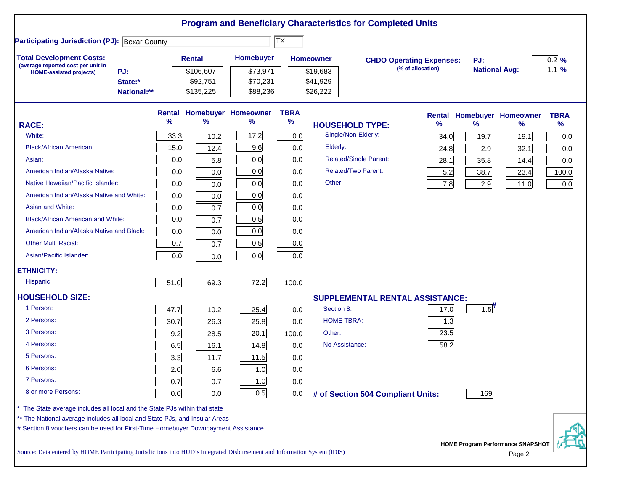| <b>Participating Jurisdiction (PJ): Bexar County</b><br><b>Total Development Costs:</b><br>Homebuyer<br>Rental<br><b>Homeowner</b><br>$0.2 \frac{9}{6}$<br><b>CHDO Operating Expenses:</b><br>PJ:<br>(average reported cost per unit in<br>(% of allocation)<br>$1.1\%$<br><b>National Avg:</b><br>\$106,607<br>\$19,683<br>PJ:<br>\$73,971<br><b>HOME-assisted projects)</b><br>State:*<br>\$92,751<br>\$70,231<br>\$41,929<br>\$135,225<br>\$88,236<br>\$26,222<br>National:**<br><b>Rental Homebuyer Homeowner</b><br><b>TBRA</b><br>Rental Homebuyer Homeowner<br><b>TBRA</b><br>$\frac{9}{6}$<br>%<br>$\%$<br>%<br>℅<br>℅<br>%<br>$\%$<br><b>RACE:</b><br><b>HOUSEHOLD TYPE:</b><br>Single/Non-Elderly:<br>White:<br>33.3<br>17.2<br>0.0<br>10.2<br>19.7<br>0.0<br>34.0<br>19.1<br>9.6<br>Elderly:<br>0.0<br><b>Black/African American:</b><br>15.0<br>12.4<br>24.8<br>2.9<br>32.1<br>0.0<br><b>Related/Single Parent:</b><br>0.0<br>0.0<br>0.0<br>Asian:<br>5.8<br>0.0<br>28.1<br>35.8<br>14.4<br><b>Related/Two Parent:</b><br>American Indian/Alaska Native:<br>0.0<br>0.0<br>0.0<br>5.2<br>38.7<br>100.0<br>0.0<br>23.4<br>Other:<br>Native Hawaiian/Pacific Islander:<br>0.0<br>0.0<br>0.0<br>7.8<br>0.0<br>0.0<br>2.9<br>11.0<br>0.0<br>0.0<br>0.0<br>American Indian/Alaska Native and White:<br>0.0<br>Asian and White:<br>0.0<br>0.0<br>0.0<br>0.7<br>0.5<br>0.0<br>0.0<br><b>Black/African American and White:</b><br>0.7<br>0.0<br>0.0<br>0.0<br>American Indian/Alaska Native and Black:<br>0.0<br>0.7<br>0.5<br><b>Other Multi Racial:</b><br>0.0<br>0.7<br>0.0<br>Asian/Pacific Islander:<br>0.0<br>0.0<br>0.0<br><b>ETHNICITY:</b><br><b>Hispanic</b><br>72.2<br>51.0<br>69.3<br>100.0<br><b>HOUSEHOLD SIZE:</b><br>SUPPLEMENTAL RENTAL ASSISTANCE:<br>$1.5$ <sup>#</sup><br>1 Person:<br>47.7<br>Section 8:<br>17.0<br>10.2<br>25.4<br>0.0<br>2 Persons:<br><b>HOME TBRA:</b><br>1.3<br>30.7<br>26.3<br>25.8<br>0.0<br>3 Persons:<br>Other:<br>23.5<br>9.2<br>20.1<br>28.5<br>100.0<br>4 Persons:<br>58.2<br>No Assistance:<br>6.5<br>14.8<br>0.0<br>16.1<br>5 Persons:<br>3.3<br>11.5<br>11.7<br>0.0<br>6 Persons:<br>1.0<br>2.0<br>6.6<br>0.0<br>7 Persons:<br>0.7<br>0.7<br>1.0<br>0.0<br>8 or more Persons:<br>0.5<br>0.0<br>0.0<br>0.0<br>169<br># of Section 504 Compliant Units:<br>The State average includes all local and the State PJs within that state<br>** The National average includes all local and State PJs, and Insular Areas |  |  | $\overline{\mathsf{TX}}$ |  |  |  |  |
|-------------------------------------------------------------------------------------------------------------------------------------------------------------------------------------------------------------------------------------------------------------------------------------------------------------------------------------------------------------------------------------------------------------------------------------------------------------------------------------------------------------------------------------------------------------------------------------------------------------------------------------------------------------------------------------------------------------------------------------------------------------------------------------------------------------------------------------------------------------------------------------------------------------------------------------------------------------------------------------------------------------------------------------------------------------------------------------------------------------------------------------------------------------------------------------------------------------------------------------------------------------------------------------------------------------------------------------------------------------------------------------------------------------------------------------------------------------------------------------------------------------------------------------------------------------------------------------------------------------------------------------------------------------------------------------------------------------------------------------------------------------------------------------------------------------------------------------------------------------------------------------------------------------------------------------------------------------------------------------------------------------------------------------------------------------------------------------------------------------------------------------------------------------------------------------------------------------------------------------------------------------------------------------------------------------------------------------------------------------------------------------------------------------------------------------------------------------------------|--|--|--------------------------|--|--|--|--|
|                                                                                                                                                                                                                                                                                                                                                                                                                                                                                                                                                                                                                                                                                                                                                                                                                                                                                                                                                                                                                                                                                                                                                                                                                                                                                                                                                                                                                                                                                                                                                                                                                                                                                                                                                                                                                                                                                                                                                                                                                                                                                                                                                                                                                                                                                                                                                                                                                                                                         |  |  |                          |  |  |  |  |
|                                                                                                                                                                                                                                                                                                                                                                                                                                                                                                                                                                                                                                                                                                                                                                                                                                                                                                                                                                                                                                                                                                                                                                                                                                                                                                                                                                                                                                                                                                                                                                                                                                                                                                                                                                                                                                                                                                                                                                                                                                                                                                                                                                                                                                                                                                                                                                                                                                                                         |  |  |                          |  |  |  |  |
|                                                                                                                                                                                                                                                                                                                                                                                                                                                                                                                                                                                                                                                                                                                                                                                                                                                                                                                                                                                                                                                                                                                                                                                                                                                                                                                                                                                                                                                                                                                                                                                                                                                                                                                                                                                                                                                                                                                                                                                                                                                                                                                                                                                                                                                                                                                                                                                                                                                                         |  |  |                          |  |  |  |  |
|                                                                                                                                                                                                                                                                                                                                                                                                                                                                                                                                                                                                                                                                                                                                                                                                                                                                                                                                                                                                                                                                                                                                                                                                                                                                                                                                                                                                                                                                                                                                                                                                                                                                                                                                                                                                                                                                                                                                                                                                                                                                                                                                                                                                                                                                                                                                                                                                                                                                         |  |  |                          |  |  |  |  |
|                                                                                                                                                                                                                                                                                                                                                                                                                                                                                                                                                                                                                                                                                                                                                                                                                                                                                                                                                                                                                                                                                                                                                                                                                                                                                                                                                                                                                                                                                                                                                                                                                                                                                                                                                                                                                                                                                                                                                                                                                                                                                                                                                                                                                                                                                                                                                                                                                                                                         |  |  |                          |  |  |  |  |
|                                                                                                                                                                                                                                                                                                                                                                                                                                                                                                                                                                                                                                                                                                                                                                                                                                                                                                                                                                                                                                                                                                                                                                                                                                                                                                                                                                                                                                                                                                                                                                                                                                                                                                                                                                                                                                                                                                                                                                                                                                                                                                                                                                                                                                                                                                                                                                                                                                                                         |  |  |                          |  |  |  |  |
|                                                                                                                                                                                                                                                                                                                                                                                                                                                                                                                                                                                                                                                                                                                                                                                                                                                                                                                                                                                                                                                                                                                                                                                                                                                                                                                                                                                                                                                                                                                                                                                                                                                                                                                                                                                                                                                                                                                                                                                                                                                                                                                                                                                                                                                                                                                                                                                                                                                                         |  |  |                          |  |  |  |  |
|                                                                                                                                                                                                                                                                                                                                                                                                                                                                                                                                                                                                                                                                                                                                                                                                                                                                                                                                                                                                                                                                                                                                                                                                                                                                                                                                                                                                                                                                                                                                                                                                                                                                                                                                                                                                                                                                                                                                                                                                                                                                                                                                                                                                                                                                                                                                                                                                                                                                         |  |  |                          |  |  |  |  |
|                                                                                                                                                                                                                                                                                                                                                                                                                                                                                                                                                                                                                                                                                                                                                                                                                                                                                                                                                                                                                                                                                                                                                                                                                                                                                                                                                                                                                                                                                                                                                                                                                                                                                                                                                                                                                                                                                                                                                                                                                                                                                                                                                                                                                                                                                                                                                                                                                                                                         |  |  |                          |  |  |  |  |
|                                                                                                                                                                                                                                                                                                                                                                                                                                                                                                                                                                                                                                                                                                                                                                                                                                                                                                                                                                                                                                                                                                                                                                                                                                                                                                                                                                                                                                                                                                                                                                                                                                                                                                                                                                                                                                                                                                                                                                                                                                                                                                                                                                                                                                                                                                                                                                                                                                                                         |  |  |                          |  |  |  |  |
|                                                                                                                                                                                                                                                                                                                                                                                                                                                                                                                                                                                                                                                                                                                                                                                                                                                                                                                                                                                                                                                                                                                                                                                                                                                                                                                                                                                                                                                                                                                                                                                                                                                                                                                                                                                                                                                                                                                                                                                                                                                                                                                                                                                                                                                                                                                                                                                                                                                                         |  |  |                          |  |  |  |  |
|                                                                                                                                                                                                                                                                                                                                                                                                                                                                                                                                                                                                                                                                                                                                                                                                                                                                                                                                                                                                                                                                                                                                                                                                                                                                                                                                                                                                                                                                                                                                                                                                                                                                                                                                                                                                                                                                                                                                                                                                                                                                                                                                                                                                                                                                                                                                                                                                                                                                         |  |  |                          |  |  |  |  |
|                                                                                                                                                                                                                                                                                                                                                                                                                                                                                                                                                                                                                                                                                                                                                                                                                                                                                                                                                                                                                                                                                                                                                                                                                                                                                                                                                                                                                                                                                                                                                                                                                                                                                                                                                                                                                                                                                                                                                                                                                                                                                                                                                                                                                                                                                                                                                                                                                                                                         |  |  |                          |  |  |  |  |
|                                                                                                                                                                                                                                                                                                                                                                                                                                                                                                                                                                                                                                                                                                                                                                                                                                                                                                                                                                                                                                                                                                                                                                                                                                                                                                                                                                                                                                                                                                                                                                                                                                                                                                                                                                                                                                                                                                                                                                                                                                                                                                                                                                                                                                                                                                                                                                                                                                                                         |  |  |                          |  |  |  |  |
|                                                                                                                                                                                                                                                                                                                                                                                                                                                                                                                                                                                                                                                                                                                                                                                                                                                                                                                                                                                                                                                                                                                                                                                                                                                                                                                                                                                                                                                                                                                                                                                                                                                                                                                                                                                                                                                                                                                                                                                                                                                                                                                                                                                                                                                                                                                                                                                                                                                                         |  |  |                          |  |  |  |  |
|                                                                                                                                                                                                                                                                                                                                                                                                                                                                                                                                                                                                                                                                                                                                                                                                                                                                                                                                                                                                                                                                                                                                                                                                                                                                                                                                                                                                                                                                                                                                                                                                                                                                                                                                                                                                                                                                                                                                                                                                                                                                                                                                                                                                                                                                                                                                                                                                                                                                         |  |  |                          |  |  |  |  |
|                                                                                                                                                                                                                                                                                                                                                                                                                                                                                                                                                                                                                                                                                                                                                                                                                                                                                                                                                                                                                                                                                                                                                                                                                                                                                                                                                                                                                                                                                                                                                                                                                                                                                                                                                                                                                                                                                                                                                                                                                                                                                                                                                                                                                                                                                                                                                                                                                                                                         |  |  |                          |  |  |  |  |
|                                                                                                                                                                                                                                                                                                                                                                                                                                                                                                                                                                                                                                                                                                                                                                                                                                                                                                                                                                                                                                                                                                                                                                                                                                                                                                                                                                                                                                                                                                                                                                                                                                                                                                                                                                                                                                                                                                                                                                                                                                                                                                                                                                                                                                                                                                                                                                                                                                                                         |  |  |                          |  |  |  |  |
|                                                                                                                                                                                                                                                                                                                                                                                                                                                                                                                                                                                                                                                                                                                                                                                                                                                                                                                                                                                                                                                                                                                                                                                                                                                                                                                                                                                                                                                                                                                                                                                                                                                                                                                                                                                                                                                                                                                                                                                                                                                                                                                                                                                                                                                                                                                                                                                                                                                                         |  |  |                          |  |  |  |  |
|                                                                                                                                                                                                                                                                                                                                                                                                                                                                                                                                                                                                                                                                                                                                                                                                                                                                                                                                                                                                                                                                                                                                                                                                                                                                                                                                                                                                                                                                                                                                                                                                                                                                                                                                                                                                                                                                                                                                                                                                                                                                                                                                                                                                                                                                                                                                                                                                                                                                         |  |  |                          |  |  |  |  |
|                                                                                                                                                                                                                                                                                                                                                                                                                                                                                                                                                                                                                                                                                                                                                                                                                                                                                                                                                                                                                                                                                                                                                                                                                                                                                                                                                                                                                                                                                                                                                                                                                                                                                                                                                                                                                                                                                                                                                                                                                                                                                                                                                                                                                                                                                                                                                                                                                                                                         |  |  |                          |  |  |  |  |
|                                                                                                                                                                                                                                                                                                                                                                                                                                                                                                                                                                                                                                                                                                                                                                                                                                                                                                                                                                                                                                                                                                                                                                                                                                                                                                                                                                                                                                                                                                                                                                                                                                                                                                                                                                                                                                                                                                                                                                                                                                                                                                                                                                                                                                                                                                                                                                                                                                                                         |  |  |                          |  |  |  |  |
|                                                                                                                                                                                                                                                                                                                                                                                                                                                                                                                                                                                                                                                                                                                                                                                                                                                                                                                                                                                                                                                                                                                                                                                                                                                                                                                                                                                                                                                                                                                                                                                                                                                                                                                                                                                                                                                                                                                                                                                                                                                                                                                                                                                                                                                                                                                                                                                                                                                                         |  |  |                          |  |  |  |  |
|                                                                                                                                                                                                                                                                                                                                                                                                                                                                                                                                                                                                                                                                                                                                                                                                                                                                                                                                                                                                                                                                                                                                                                                                                                                                                                                                                                                                                                                                                                                                                                                                                                                                                                                                                                                                                                                                                                                                                                                                                                                                                                                                                                                                                                                                                                                                                                                                                                                                         |  |  |                          |  |  |  |  |
|                                                                                                                                                                                                                                                                                                                                                                                                                                                                                                                                                                                                                                                                                                                                                                                                                                                                                                                                                                                                                                                                                                                                                                                                                                                                                                                                                                                                                                                                                                                                                                                                                                                                                                                                                                                                                                                                                                                                                                                                                                                                                                                                                                                                                                                                                                                                                                                                                                                                         |  |  |                          |  |  |  |  |
|                                                                                                                                                                                                                                                                                                                                                                                                                                                                                                                                                                                                                                                                                                                                                                                                                                                                                                                                                                                                                                                                                                                                                                                                                                                                                                                                                                                                                                                                                                                                                                                                                                                                                                                                                                                                                                                                                                                                                                                                                                                                                                                                                                                                                                                                                                                                                                                                                                                                         |  |  |                          |  |  |  |  |
|                                                                                                                                                                                                                                                                                                                                                                                                                                                                                                                                                                                                                                                                                                                                                                                                                                                                                                                                                                                                                                                                                                                                                                                                                                                                                                                                                                                                                                                                                                                                                                                                                                                                                                                                                                                                                                                                                                                                                                                                                                                                                                                                                                                                                                                                                                                                                                                                                                                                         |  |  |                          |  |  |  |  |
|                                                                                                                                                                                                                                                                                                                                                                                                                                                                                                                                                                                                                                                                                                                                                                                                                                                                                                                                                                                                                                                                                                                                                                                                                                                                                                                                                                                                                                                                                                                                                                                                                                                                                                                                                                                                                                                                                                                                                                                                                                                                                                                                                                                                                                                                                                                                                                                                                                                                         |  |  |                          |  |  |  |  |
|                                                                                                                                                                                                                                                                                                                                                                                                                                                                                                                                                                                                                                                                                                                                                                                                                                                                                                                                                                                                                                                                                                                                                                                                                                                                                                                                                                                                                                                                                                                                                                                                                                                                                                                                                                                                                                                                                                                                                                                                                                                                                                                                                                                                                                                                                                                                                                                                                                                                         |  |  |                          |  |  |  |  |
|                                                                                                                                                                                                                                                                                                                                                                                                                                                                                                                                                                                                                                                                                                                                                                                                                                                                                                                                                                                                                                                                                                                                                                                                                                                                                                                                                                                                                                                                                                                                                                                                                                                                                                                                                                                                                                                                                                                                                                                                                                                                                                                                                                                                                                                                                                                                                                                                                                                                         |  |  |                          |  |  |  |  |
|                                                                                                                                                                                                                                                                                                                                                                                                                                                                                                                                                                                                                                                                                                                                                                                                                                                                                                                                                                                                                                                                                                                                                                                                                                                                                                                                                                                                                                                                                                                                                                                                                                                                                                                                                                                                                                                                                                                                                                                                                                                                                                                                                                                                                                                                                                                                                                                                                                                                         |  |  |                          |  |  |  |  |

Source: Data entered by HOME Participating Jurisdictions into HUD's Integrated Disbursement and Information System (IDIS)

**Home Performance SNAPSHOT**<br>Page 2